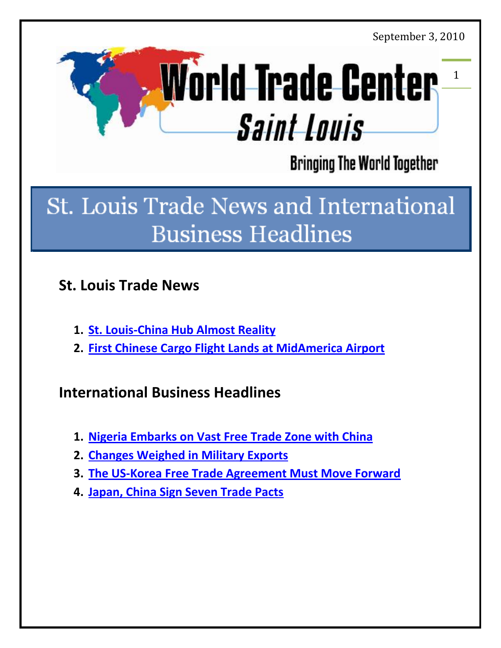<span id="page-0-0"></span>

**Bringing The World Together** 

# **St. Louis Trade News and International Business Headlines**

## **St. Louis Trade News**

- **1. [St. Louis-China Hub Almost Reality](#page-1-0)**
- **2. [First Chinese Cargo Flight Lands at MidAmerica Airport](#page-2-0)**

## **International Business Headlines**

- **1. [Nigeria Embarks on Vast Free Trade Zone with China](#page-3-0)**
- **2. [Changes Weighed in Military Exports](#page-6-0)**
- **3. [The US-Korea Free Trade Agreement Must Move Forward](#page-9-0)**
- **4. [Japan, China Sign Seven Trade Pacts](#page-11-0)**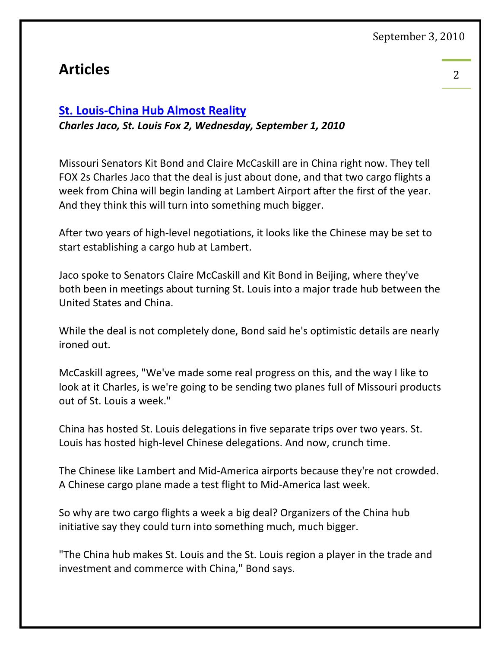## **Articles** <sup>2</sup>

## <span id="page-1-0"></span>**[St. Louis-China Hub Almost Reality](http://www.fox2now.com/news/ktvi-china-hub-closer-to-reality-090110,0,5019991.story)**

*Charles Jaco, St. Louis Fox 2, Wednesday, September 1, 2010*

Missouri Senators Kit Bond and Claire McCaskill are in China right now. They tell FOX 2s Charles Jaco that the deal is just about done, and that two cargo flights a week from China will begin landing at Lambert Airport after the first of the year. And they think this will turn into something much bigger.

After two years of high-level negotiations, it looks like the Chinese may be set to start establishing a cargo hub at Lambert.

Jaco spoke to Senators Claire McCaskill and Kit Bond in Beijing, where they've both been in meetings about turning St. Louis into a major trade hub between the United States and China.

While the deal is not completely done, Bond said he's optimistic details are nearly ironed out.

McCaskill agrees, "We've made some real progress on this, and the way I like to look at it Charles, is we're going to be sending two planes full of Missouri products out of St. Louis a week."

China has hosted St. Louis delegations in five separate trips over two years. St. Louis has hosted high-level Chinese delegations. And now, crunch time.

The Chinese like Lambert and Mid-America airports because they're not crowded. A Chinese cargo plane made a test flight to Mid-America last week.

So why are two cargo flights a week a big deal? Organizers of the China hub initiative say they could turn into something much, much bigger.

"The China hub makes St. Louis and the St. Louis region a player in the trade and investment and commerce with China," Bond says.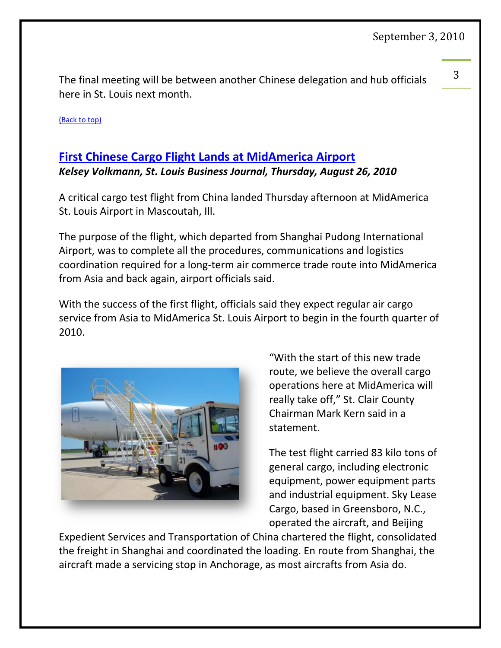The final meeting will be between another Chinese delegation and hub officials here in St. Louis next month.

#### [\(Back to top\)](#page-0-0)

## <span id="page-2-0"></span>**[First Chinese Cargo Flight Lands at MidAmerica Airport](http://www.bizjournals.com/stlouis/stories/2010/08/23/daily51.html)** *Kelsey Volkmann, St. Louis Business Journal, Thursday, August 26, 2010*

A critical cargo test flight from China landed Thursday afternoon at MidAmerica St. Louis Airport in Mascoutah, Ill.

The purpose of the flight, which departed from Shanghai Pudong International Airport, was to complete all the procedures, communications and logistics coordination required for a long-term air commerce trade route into MidAmerica from Asia and back again, airport officials said.

With the success of the first flight, officials said they expect regular air cargo service from Asia to MidAmerica St. Louis Airport to begin in the fourth quarter of 2010.



"With the start of this new trade route, we believe the overall cargo operations here at MidAmerica will really take off," St. Clair County Chairman Mark Kern said in a statement.

The test flight carried 83 kilo tons of general cargo, including electronic equipment, power equipment parts and industrial equipment. Sky Lease Cargo, based in Greensboro, N.C., operated the aircraft, and Beijing

Expedient Services and Transportation of China chartered the flight, consolidated the freight in Shanghai and coordinated the loading. En route from Shanghai, the aircraft made a servicing stop in Anchorage, as most aircrafts from Asia do.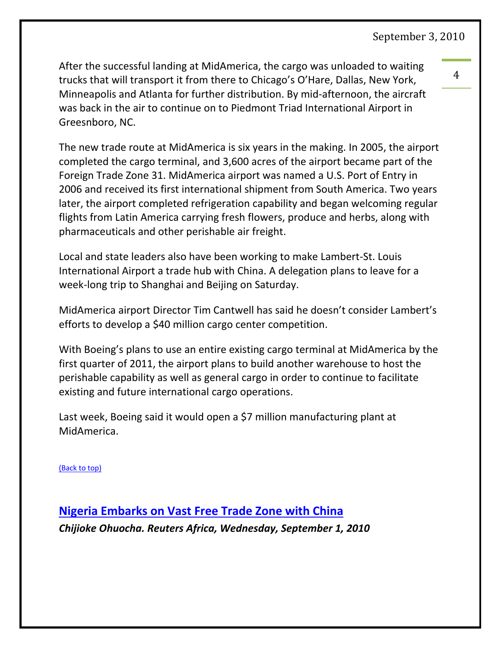After the successful landing at MidAmerica, the cargo was unloaded to waiting trucks that will transport it from there to Chicago's O'Hare, Dallas, New York, Minneapolis and Atlanta for further distribution. By mid-afternoon, the aircraft was back in the air to continue on to Piedmont Triad International Airport in Greesnboro, NC.

The new trade route at MidAmerica is six years in the making. In 2005, the airport completed the cargo terminal, and 3,600 acres of the airport became part of the Foreign Trade Zone 31. MidAmerica airport was named a U.S. Port of Entry in 2006 and received its first international shipment from South America. Two years later, the airport completed refrigeration capability and began welcoming regular flights from Latin America carrying fresh flowers, produce and herbs, along with pharmaceuticals and other perishable air freight.

Local and state leaders also have been working to make Lambert-St. Louis International Airport a trade hub with China. A delegation plans to leave for a week-long trip to Shanghai and Beijing on Saturday.

MidAmerica airport Director Tim Cantwell has said he doesn't consider Lambert's efforts to develop a \$40 million cargo center competition.

With Boeing's plans to use an entire existing cargo terminal at MidAmerica by the first quarter of 2011, the airport plans to build another warehouse to host the perishable capability as well as general cargo in order to continue to facilitate existing and future international cargo operations.

Last week, Boeing said it would open a \$7 million manufacturing plant at MidAmerica.

<span id="page-3-0"></span>[\(Back to top\)](#page-0-0)

**[Nigeria Embarks on Vast Free Trade Zone with China](http://af.reuters.com/article/topNews/idAFJOE6800H820100901)** *Chijioke Ohuocha. Reuters Africa, Wednesday, September 1, 2010*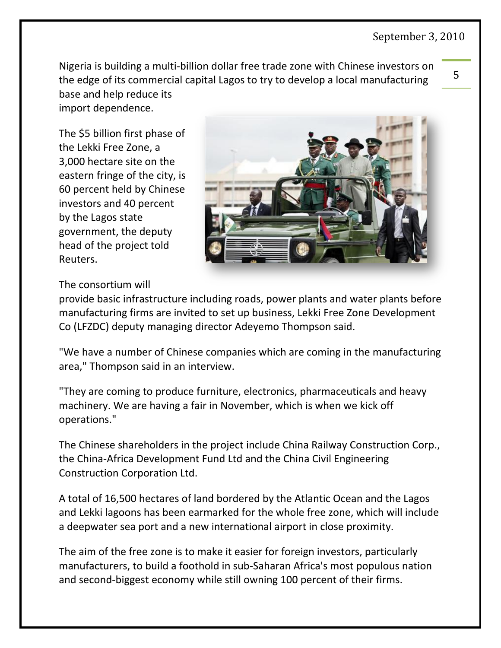Nigeria is building a multi-billion dollar free trade zone with Chinese investors on the edge of its commercial capital Lagos to try to develop a local manufacturing base and help reduce its import dependence.

The \$5 billion first phase of the Lekki Free Zone, a 3,000 hectare site on the eastern fringe of the city, is 60 percent held by Chinese investors and 40 percent by the Lagos state government, the deputy head of the project told Reuters.



### The consortium will

provide basic infrastructure including roads, power plants and water plants before manufacturing firms are invited to set up business, Lekki Free Zone Development Co (LFZDC) deputy managing director Adeyemo Thompson said.

"We have a number of Chinese companies which are coming in the manufacturing area," Thompson said in an interview.

"They are coming to produce furniture, electronics, pharmaceuticals and heavy machinery. We are having a fair in November, which is when we kick off operations."

The Chinese shareholders in the project include China Railway Construction Corp., the China-Africa Development Fund Ltd and the China Civil Engineering Construction Corporation Ltd.

A total of 16,500 hectares of land bordered by the Atlantic Ocean and the Lagos and Lekki lagoons has been earmarked for the whole free zone, which will include a deepwater sea port and a new international airport in close proximity.

The aim of the free zone is to make it easier for foreign investors, particularly manufacturers, to build a foothold in sub-Saharan Africa's most populous nation and second-biggest economy while still owning 100 percent of their firms.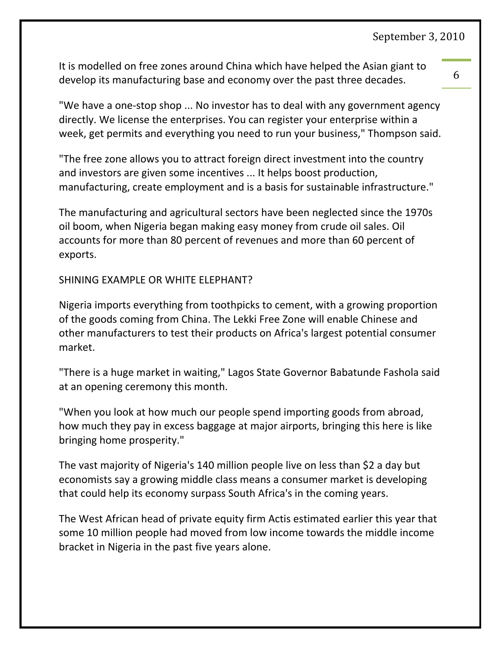It is modelled on free zones around China which have helped the Asian giant to develop its manufacturing base and economy over the past three decades.

"We have a one-stop shop ... No investor has to deal with any government agency directly. We license the enterprises. You can register your enterprise within a week, get permits and everything you need to run your business," Thompson said.

"The free zone allows you to attract foreign direct investment into the country and investors are given some incentives ... It helps boost production, manufacturing, create employment and is a basis for sustainable infrastructure."

The manufacturing and agricultural sectors have been neglected since the 1970s oil boom, when Nigeria began making easy money from crude oil sales. Oil accounts for more than 80 percent of revenues and more than 60 percent of exports.

### SHINING EXAMPLE OR WHITE ELEPHANT?

Nigeria imports everything from toothpicks to cement, with a growing proportion of the goods coming from China. The Lekki Free Zone will enable Chinese and other manufacturers to test their products on Africa's largest potential consumer market.

"There is a huge market in waiting," Lagos State Governor Babatunde Fashola said at an opening ceremony this month.

"When you look at how much our people spend importing goods from abroad, how much they pay in excess baggage at major airports, bringing this here is like bringing home prosperity."

The vast majority of Nigeria's 140 million people live on less than \$2 a day but economists say a growing middle class means a consumer market is developing that could help its economy surpass South Africa's in the coming years.

The West African head of private equity firm Actis estimated earlier this year that some 10 million people had moved from low income towards the middle income bracket in Nigeria in the past five years alone.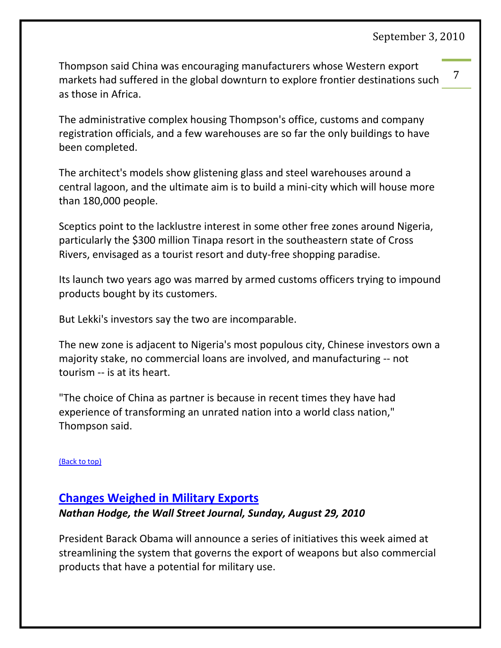7

Thompson said China was encouraging manufacturers whose Western export markets had suffered in the global downturn to explore frontier destinations such as those in Africa.

The administrative complex housing Thompson's office, customs and company registration officials, and a few warehouses are so far the only buildings to have been completed.

The architect's models show glistening glass and steel warehouses around a central lagoon, and the ultimate aim is to build a mini-city which will house more than 180,000 people.

Sceptics point to the lacklustre interest in some other free zones around Nigeria, particularly the \$300 million Tinapa resort in the southeastern state of Cross Rivers, envisaged as a tourist resort and duty-free shopping paradise.

Its launch two years ago was marred by armed customs officers trying to impound products bought by its customers.

But Lekki's investors say the two are incomparable.

The new zone is adjacent to Nigeria's most populous city, Chinese investors own a majority stake, no commercial loans are involved, and manufacturing -- not tourism -- is at its heart.

"The choice of China as partner is because in recent times they have had experience of transforming an unrated nation into a world class nation," Thompson said.

#### [\(Back to top\)](#page-0-0)

## <span id="page-6-0"></span>**[Changes Weighed in Military Exports](http://online.wsj.com/article/SB10001424052748704342504575460000684680106.html)**

*Nathan Hodge, the Wall Street Journal, Sunday, August 29, 2010*

President Barack Obama will announce a series of initiatives this week aimed at streamlining the system that governs the export of weapons but also commercial products that have a potential for military use.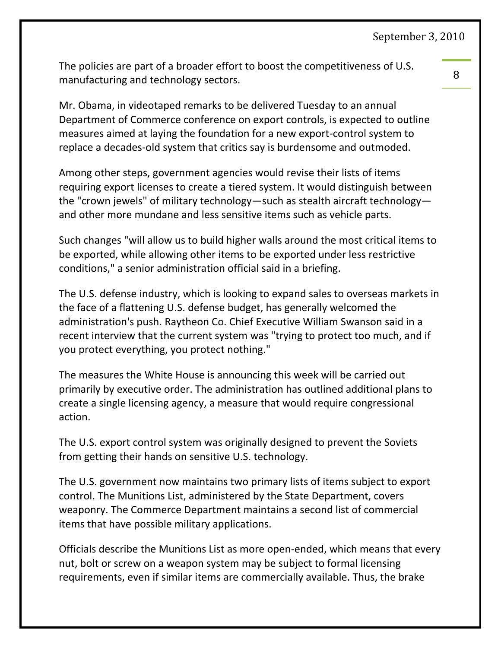The policies are part of a broader effort to boost the competitiveness of U.S. manufacturing and technology sectors.

Mr. Obama, in videotaped remarks to be delivered Tuesday to an annual Department of Commerce conference on export controls, is expected to outline measures aimed at laying the foundation for a new export-control system to replace a decades-old system that critics say is burdensome and outmoded.

Among other steps, government agencies would revise their lists of items requiring export licenses to create a tiered system. It would distinguish between the "crown jewels" of military technology—such as stealth aircraft technology and other more mundane and less sensitive items such as vehicle parts.

Such changes "will allow us to build higher walls around the most critical items to be exported, while allowing other items to be exported under less restrictive conditions," a senior administration official said in a briefing.

The U.S. defense industry, which is looking to expand sales to overseas markets in the face of a flattening U.S. defense budget, has generally welcomed the administration's push. Raytheon Co. Chief Executive William Swanson said in a recent interview that the current system was "trying to protect too much, and if you protect everything, you protect nothing."

The measures the White House is announcing this week will be carried out primarily by executive order. The administration has outlined additional plans to create a single licensing agency, a measure that would require congressional action.

The U.S. export control system was originally designed to prevent the Soviets from getting their hands on sensitive U.S. technology.

The U.S. government now maintains two primary lists of items subject to export control. The Munitions List, administered by the State Department, covers weaponry. The Commerce Department maintains a second list of commercial items that have possible military applications.

Officials describe the Munitions List as more open-ended, which means that every nut, bolt or screw on a weapon system may be subject to formal licensing requirements, even if similar items are commercially available. Thus, the brake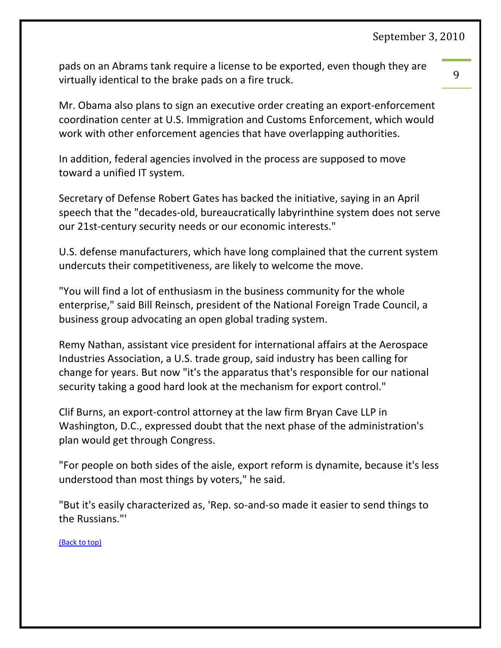pads on an Abrams tank require a license to be exported, even though they are virtually identical to the brake pads on a fire truck.

Mr. Obama also plans to sign an executive order creating an export-enforcement coordination center at U.S. Immigration and Customs Enforcement, which would work with other enforcement agencies that have overlapping authorities.

In addition, federal agencies involved in the process are supposed to move toward a unified IT system.

Secretary of Defense Robert Gates has backed the initiative, saying in an April speech that the "decades-old, bureaucratically labyrinthine system does not serve our 21st-century security needs or our economic interests."

U.S. defense manufacturers, which have long complained that the current system undercuts their competitiveness, are likely to welcome the move.

"You will find a lot of enthusiasm in the business community for the whole enterprise," said Bill Reinsch, president of the National Foreign Trade Council, a business group advocating an open global trading system.

Remy Nathan, assistant vice president for international affairs at the Aerospace Industries Association, a U.S. trade group, said industry has been calling for change for years. But now "it's the apparatus that's responsible for our national security taking a good hard look at the mechanism for export control."

Clif Burns, an export-control attorney at the law firm Bryan Cave LLP in Washington, D.C., expressed doubt that the next phase of the administration's plan would get through Congress.

"For people on both sides of the aisle, export reform is dynamite, because it's less understood than most things by voters," he said.

"But it's easily characterized as, 'Rep. so-and-so made it easier to send things to the Russians."'

[\(Back to top\)](#page-0-0)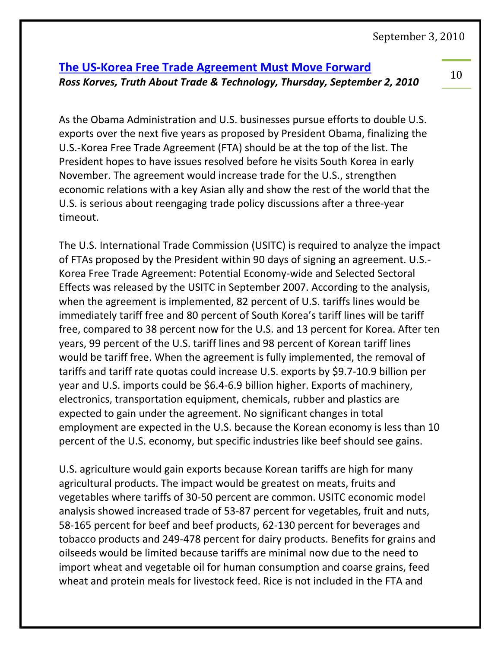## <span id="page-9-0"></span>**[The US-Korea Free Trade Agreement Must Move Forward](http://www.truthabouttrade.org/news/editorials/trade-policy-analysis/16550-the-us-korea-free-trade-agreement-must-move-forward-) THE** 10 *Ross Korves, Truth About Trade & Technology, Thursday, September 2, 2010*

As the Obama Administration and U.S. businesses pursue efforts to double U.S. exports over the next five years as proposed by President Obama, finalizing the U.S.-Korea Free Trade Agreement (FTA) should be at the top of the list. The President hopes to have issues resolved before he visits South Korea in early November. The agreement would increase trade for the U.S., strengthen economic relations with a key Asian ally and show the rest of the world that the U.S. is serious about reengaging trade policy discussions after a three-year timeout.

The U.S. International Trade Commission (USITC) is required to analyze the impact of FTAs proposed by the President within 90 days of signing an agreement. U.S.- Korea Free Trade Agreement: Potential Economy-wide and Selected Sectoral Effects was released by the USITC in September 2007. According to the analysis, when the agreement is implemented, 82 percent of U.S. tariffs lines would be immediately tariff free and 80 percent of South Korea's tariff lines will be tariff free, compared to 38 percent now for the U.S. and 13 percent for Korea. After ten years, 99 percent of the U.S. tariff lines and 98 percent of Korean tariff lines would be tariff free. When the agreement is fully implemented, the removal of tariffs and tariff rate quotas could increase U.S. exports by \$9.7-10.9 billion per year and U.S. imports could be \$6.4-6.9 billion higher. Exports of machinery, electronics, transportation equipment, chemicals, rubber and plastics are expected to gain under the agreement. No significant changes in total employment are expected in the U.S. because the Korean economy is less than 10 percent of the U.S. economy, but specific industries like beef should see gains.

U.S. agriculture would gain exports because Korean tariffs are high for many agricultural products. The impact would be greatest on meats, fruits and vegetables where tariffs of 30-50 percent are common. USITC economic model analysis showed increased trade of 53-87 percent for vegetables, fruit and nuts, 58-165 percent for beef and beef products, 62-130 percent for beverages and tobacco products and 249-478 percent for dairy products. Benefits for grains and oilseeds would be limited because tariffs are minimal now due to the need to import wheat and vegetable oil for human consumption and coarse grains, feed wheat and protein meals for livestock feed. Rice is not included in the FTA and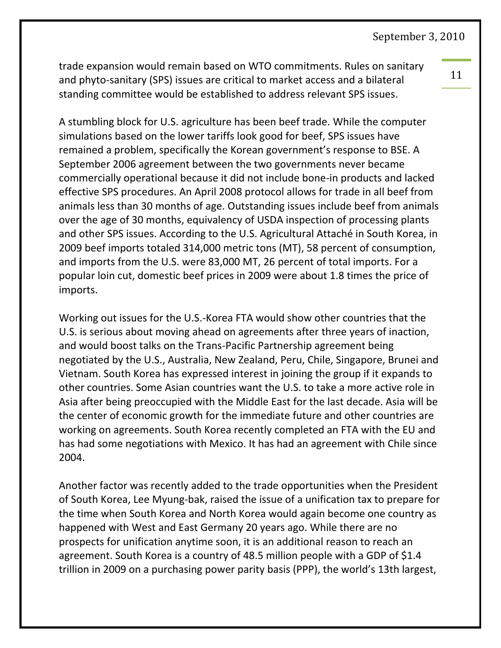trade expansion would remain based on WTO commitments. Rules on sanitary and phyto-sanitary (SPS) issues are critical to market access and a bilateral standing committee would be established to address relevant SPS issues.

A stumbling block for U.S. agriculture has been beef trade. While the computer simulations based on the lower tariffs look good for beef, SPS issues have remained a problem, specifically the Korean government's response to BSE. A September 2006 agreement between the two governments never became commercially operational because it did not include bone-in products and lacked effective SPS procedures. An April 2008 protocol allows for trade in all beef from animals less than 30 months of age. Outstanding issues include beef from animals over the age of 30 months, equivalency of USDA inspection of processing plants and other SPS issues. According to the U.S. Agricultural Attaché in South Korea, in 2009 beef imports totaled 314,000 metric tons (MT), 58 percent of consumption, and imports from the U.S. were 83,000 MT, 26 percent of total imports. For a popular loin cut, domestic beef prices in 2009 were about 1.8 times the price of imports.

Working out issues for the U.S.-Korea FTA would show other countries that the U.S. is serious about moving ahead on agreements after three years of inaction, and would boost talks on the Trans-Pacific Partnership agreement being negotiated by the U.S., Australia, New Zealand, Peru, Chile, Singapore, Brunei and Vietnam. South Korea has expressed interest in joining the group if it expands to other countries. Some Asian countries want the U.S. to take a more active role in Asia after being preoccupied with the Middle East for the last decade. Asia will be the center of economic growth for the immediate future and other countries are working on agreements. South Korea recently completed an FTA with the EU and has had some negotiations with Mexico. It has had an agreement with Chile since 2004.

Another factor was recently added to the trade opportunities when the President of South Korea, Lee Myung-bak, raised the issue of a unification tax to prepare for the time when South Korea and North Korea would again become one country as happened with West and East Germany 20 years ago. While there are no prospects for unification anytime soon, it is an additional reason to reach an agreement. South Korea is a country of 48.5 million people with a GDP of \$1.4 trillion in 2009 on a purchasing power parity basis (PPP), the world's 13th largest,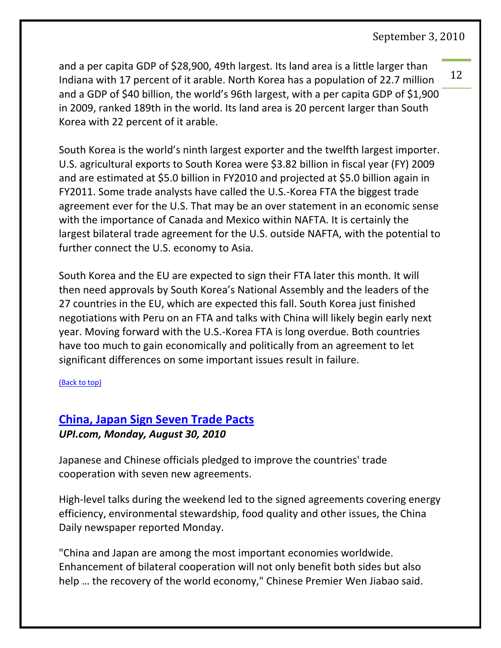and a per capita GDP of \$28,900, 49th largest. Its land area is a little larger than Indiana with 17 percent of it arable. North Korea has a population of 22.7 million and a GDP of \$40 billion, the world's 96th largest, with a per capita GDP of \$1,900 in 2009, ranked 189th in the world. Its land area is 20 percent larger than South Korea with 22 percent of it arable.

South Korea is the world's ninth largest exporter and the twelfth largest importer. U.S. agricultural exports to South Korea were \$3.82 billion in fiscal year (FY) 2009 and are estimated at \$5.0 billion in FY2010 and projected at \$5.0 billion again in FY2011. Some trade analysts have called the U.S.-Korea FTA the biggest trade agreement ever for the U.S. That may be an over statement in an economic sense with the importance of Canada and Mexico within NAFTA. It is certainly the largest bilateral trade agreement for the U.S. outside NAFTA, with the potential to further connect the U.S. economy to Asia.

South Korea and the EU are expected to sign their FTA later this month. It will then need approvals by South Korea's National Assembly and the leaders of the 27 countries in the EU, which are expected this fall. South Korea just finished negotiations with Peru on an FTA and talks with China will likely begin early next year. Moving forward with the U.S.-Korea FTA is long overdue. Both countries have too much to gain economically and politically from an agreement to let significant differences on some important issues result in failure.

#### [\(Back to top\)](#page-0-0)

## <span id="page-11-0"></span>**[China, Japan Sign Seven Trade Pacts](http://www.upi.com/Business_News/2010/08/30/Japan-China-sign-seven-trade-pacts/UPI-42731283177237/)** *UPI.com, Monday, August 30, 2010*

Japanese and Chinese officials pledged to improve the countries' trade cooperation with seven new agreements.

High-level talks during the weekend led to the signed agreements covering energy efficiency, environmental stewardship, food quality and other issues, the China Daily newspaper reported Monday.

"China and Japan are among the most important economies worldwide. Enhancement of bilateral cooperation will not only benefit both sides but also help … the recovery of the world economy," Chinese Premier Wen Jiabao said.